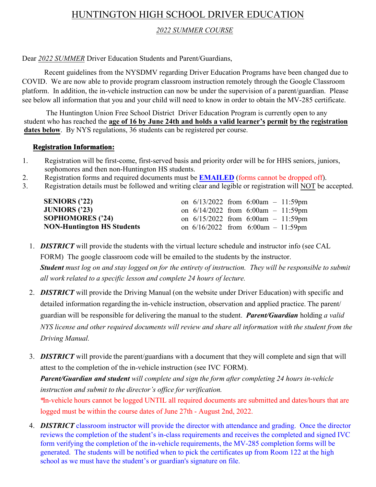# HUNTINGTON HIGH SCHOOL DRIVER EDUCATION

## *2022 SUMMER COURSE*

## Dear *2022 SUMMER* Driver Education Students and Parent/Guardians,

Recent guidelines from the NYSDMV regarding Driver Education Programs have been changed due to COVID. We are now able to provide program classroom instruction remotely through the Google Classroom platform. In addition, the in-vehicle instruction can now be under the supervision of a parent/guardian. Please see below all information that you and your child will need to know in order to obtain the MV-285 certificate.

The Huntington Union Free School District Driver Education Program is currently open to any student who has reached the **age of 16 by June 24th and holds a valid learner's permit by the registration**  dates below. By NYS regulations, 36 students can be registered per course.

#### **Registration Information:**

- 1. Registration will be first-come, first-served basis and priority order will be for HHS seniors, juniors, sophomores and then non-Huntington HS students.
- 2. Registration forms and required documents must be **EMAILED** (forms cannot be dropped off).
- 3. Registration details must be followed and writing clear and legible or registration will NOT be accepted.

| <b>SENIORS</b> ('22)              |  | on $6/13/2022$ from $6:00am - 11:59pm$ |  |
|-----------------------------------|--|----------------------------------------|--|
| JUNIORS $('23)$                   |  | on $6/14/2022$ from $6:00am - 11:59pm$ |  |
| <b>SOPHOMORES</b> ('24)           |  | on $6/15/2022$ from $6:00am - 11:59pm$ |  |
| <b>NON-Huntington HS Students</b> |  | on $6/16/2022$ from $6:00am - 11:59pm$ |  |

- 1. *DISTRICT* will provide the students with the virtual lecture schedule and instructor info (see CAL FORM) The google classroom code will be emailed to the students by the instructor. *Student* must log on and stay logged on for the entirety of instruction. They will be responsible to submit *all work related to a specific lesson and complete 24 hours of lecture.*
- 2. *DISTRICT* will provide the Driving Manual (on the website under Driver Education) with specific and detailed information regarding the in-vehicle instruction, observation and applied practice. The parent/ guardian will be responsible for delivering the manual to the student. *Parent/Guardian* holding *a valid NYS license and other required documents will review and share all information with the student from the Driving Manual.*
- 3. *DISTRICT* will provide the parent/guardians with a document that they will complete and sign that will attest to the completion of the in-vehicle instruction (see IVC FORM).

*Parent/Guardian and student will complete and sign the form after completing 24 hours in-vehicle instruction and submit to the director's office for verification.*

\*In-vehicle hours cannot be logged UNTIL all required documents are submitted and dates/hours that are logged must be within the course dates of June 27th - August 2nd, 2022.

4. *DISTRICT* classroom instructor will provide the director with attendance and grading. Once the director reviews the completion of the student's in-class requirements and receives the completed and signed IVC form verifying the completion of the in-vehicle requirements, the MV-285 completion forms will be generated. The students will be notified when to pick the certificates up from Room 122 at the high school as we must have the student's or guardian's signature on file.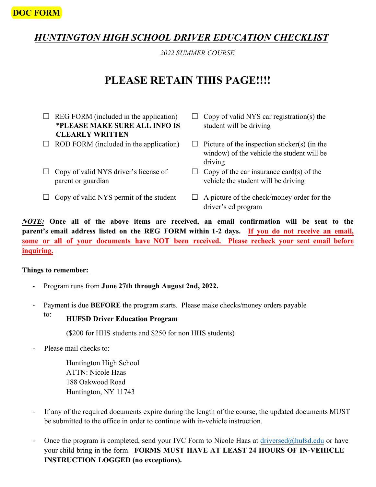## **DOC FORM**

# *HUNTINGTON HIGH SCHOOL DRIVER EDUCATION CHECKLIST*

*2022 SUMMER COURSE*

# **PLEASE RETAIN THIS PAGE!!!!**

- $\Box$  REG FORM (included in the application) \***PLEASE MAKE SURE ALL INFO IS CLEARLY WRITTEN**
- $\Box$  ROD FORM (included in the application)
- $\Box$  Copy of valid NYS driver's license of parent or guardian
- $\Box$  Copy of valid NYS permit of the student
- $\Box$  Copy of valid NYS car registration(s) the student will be driving
- $\Box$  Picture of the inspection sticker(s) (in the window) of the vehicle the student will be driving
- $\Box$  Copy of the car insurance card(s) of the vehicle the student will be driving
- $\Box$  A picture of the check/money order for the driver's ed program

*NOTE:* **Once all of the above items are received, an email confirmation will be sent to the parent's email address listed on the REG FORM within 1-2 days. If you do not receive an email, some or all of your documents have NOT been received. Please recheck your sent email before inquiring.**

#### **Things to remember:**

- Program runs from **June 27th through August 2nd, 2022.**
- Payment is due **BEFORE** the program starts. Please make checks/money orders payable

# to: **HUFSD Driver Education Program**

(\$200 for HHS students and \$250 for non HHS students)

Please mail checks to:

Huntington High School ATTN: Nicole Haas 188 Oakwood Road Huntington, NY 11743

- If any of the required documents expire during the length of the course, the updated documents MUST be submitted to the office in order to continue with in-vehicle instruction.
- Once the program is completed, send your IVC Form to Nicole Haas at [driversed@hufsd.edu](mailto:nhaas@hufsd.edu) or have your child bring in the form. **FORMS MUST HAVE AT LEAST 24 HOURS OF IN-VEHICLE INSTRUCTION LOGGED (no exceptions).**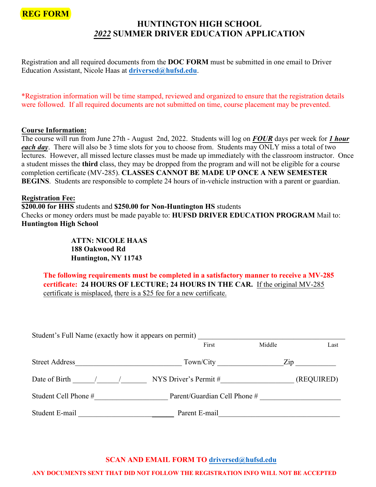

## **HUNTINGTON HIGH SCHOOL**  *2022* **SUMMER DRIVER EDUCATION APPLICATION**

Registration and all required documents from the **DOC FORM** must be submitted in one email to Driver Education Assistant, Nicole Haas at **[driversed@hufsd.e](mailto:nhaas@hufsd.edu)du**.

\*Registration information will be time stamped, reviewed and organized to ensure that the registration details were followed. If all required documents are not submitted on time, course placement may be prevented.

#### **Course Information:**

The course will run from June 27th - August 2nd, 2022. Students will log on *FOUR* days per week for *1 hour each day*. There will also be 3 time slots for you to choose from. Students may ONLY miss a total of two lectures. However, all missed lecture classes must be made up immediately with the classroom instructor. Once a student misses the **third** class, they may be dropped from the program and will not be eligible for a course completion certificate (MV-285). **CLASSES CANNOT BE MADE UP ONCE A NEW SEMESTER BEGINS**. Students are responsible to complete 24 hours of in-vehicle instruction with a parent or guardian.

#### **Registration Fee:**

**\$200.00 for HHS** students and **\$250.00 for Non-Huntington HS** students Checks or money orders must be made payable to: **HUFSD DRIVER EDUCATION PROGRAM** Mail to: **Huntington High School**

> **ATTN: NICOLE HAAS 188 Oakwood Rd Huntington, NY 11743**

**The following requirements must be completed in a satisfactory manner to receive a MV-285 certificate: 24 HOURS OF LECTURE; 24 HOURS IN THE CAR.** If the original MV-285 certificate is misplaced, there is a \$25 fee for a new certificate.

| Student's Full Name (exactly how it appears on permit) |                              |                                  |
|--------------------------------------------------------|------------------------------|----------------------------------|
|                                                        | First                        | Middle<br>Last                   |
| <b>Street Address</b>                                  | Town/City                    | $\mathop{\mathrm{Zip}}\nolimits$ |
| Date of Birth                                          | NYS Driver's Permit #        | (REQUIRED)                       |
| Student Cell Phone #                                   | Parent/Guardian Cell Phone # |                                  |
| Student E-mail                                         | Parent E-mail                |                                  |

## **SCAN AND EMAIL FORM TO [driversed@hufsd.ed](mailto:nhaas@hufsd.edu)u**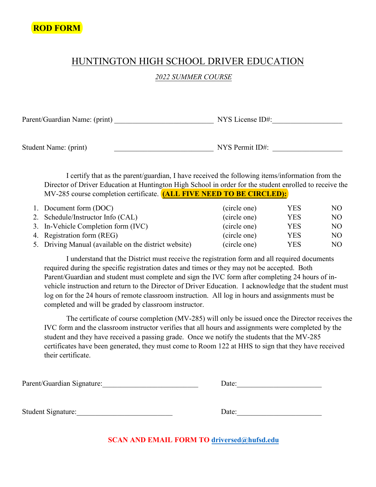# HUNTINGTON HIGH SCHOOL DRIVER EDUCATION

## *2022 SUMMER COURSE*

Parent/Guardian Name: (print) \_\_\_\_\_\_\_\_\_\_\_\_\_\_\_\_\_\_\_\_\_\_\_\_\_\_\_ NYS License ID#:\_\_\_\_\_\_\_\_\_\_\_\_\_\_\_\_\_\_\_

Student Name: (print) \_\_\_\_\_\_\_\_\_\_\_\_\_\_\_\_\_\_\_\_\_\_\_\_\_\_\_ NYS Permit ID#: \_\_\_\_\_\_\_\_\_\_\_\_\_\_\_\_\_\_\_

I certify that as the parent/guardian, I have received the following items/information from the Director of Driver Education at Huntington High School in order for the student enrolled to receive the MV-285 course completion certificate. **(ALL FIVE NEED TO BE CIRCLED):**

| 1. Document form (DOC)                                | (circle one) | <b>YES</b> | NO. |
|-------------------------------------------------------|--------------|------------|-----|
| 2. Schedule/Instructor Info (CAL)                     | (circle one) | YES        | NO. |
| 3. In-Vehicle Completion form (IVC)                   | (circle one) | YES        | NO. |
| 4. Registration form (REG)                            | (circle one) | YES        | NO. |
| 5. Driving Manual (available on the district website) | (circle one) | YES        | NO. |

I understand that the District must receive the registration form and all required documents required during the specific registration dates and times or they may not be accepted. Both Parent/Guardian and student must complete and sign the IVC form after completing 24 hours of invehicle instruction and return to the Director of Driver Education. I acknowledge that the student must log on for the 24 hours of remote classroom instruction. All log in hours and assignments must be completed and will be graded by classroom instructor.

The certificate of course completion (MV-285) will only be issued once the Director receives the IVC form and the classroom instructor verifies that all hours and assignments were completed by the student and they have received a passing grade. Once we notify the students that the MV-285 certificates have been generated, they must come to Room 122 at HHS to sign that they have received their certificate.

Parent/Guardian Signature: example and Date: Date: Student Signature:\_\_\_\_\_\_\_\_\_\_\_\_\_\_\_\_\_\_\_\_\_\_\_\_\_\_ Date:\_\_\_\_\_\_\_\_\_\_\_\_\_\_\_\_\_\_\_\_\_\_\_

**SCAN AND EMAIL FORM TO [driversed@hufsd.e](mailto:nhaas@hufsd.edu)du**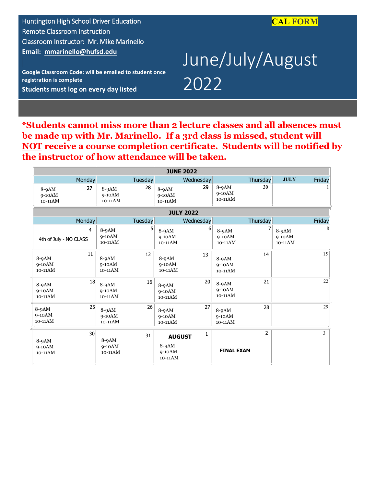

Huntington High School Driver Education Remote Classroom Instruction Classroom Instructor: Mr. Mike Marinello **Email: [mmarinello@hufsd.edu](mailto:mmarinello@hufsd.edu)**

**Google Classroom Code: will be emailed to student once registration is complete Students must log on every day listed** 

# June/July/August 2022

**\*Students cannot miss more than 2 lecture classes and all absences must be made up with Mr. Marinello. If a 3rd class is missed, student will NOT receive a course completion certificate. Students will be notified by the instructor of how attendance will be taken.**

| <b>JUNE 2022</b>                     |                                |         |                                                 |                  |                                  |                |                                |        |
|--------------------------------------|--------------------------------|---------|-------------------------------------------------|------------------|----------------------------------|----------------|--------------------------------|--------|
| Monday                               |                                | Tuesday |                                                 | Wednesday        |                                  | Thursday       | <b>JULY</b>                    | Friday |
| 27<br>$8-9AM$<br>$9-10AM$<br>10-11AM | $8-9AM$<br>$9-10AM$<br>10-11AM | 28      | $8-9AM$<br>$9-10AM$<br>10-11AM                  | 29               | $8-9AM$<br>$9-10AM$<br>$10-11AM$ | 30             |                                |        |
|                                      |                                |         |                                                 | <b>JULY 2022</b> |                                  |                |                                |        |
| Monday                               |                                | Tuesday |                                                 | Wednesday        |                                  | Thursday       |                                | Friday |
| 4<br>4th of July - NO CLASS          | $8-9AM$<br>$9-10AM$<br>10-11AM | 5       | 8-9AM<br>$9-10AM$<br>$10-11AM$                  | 6                | $8-9AM$<br>$9-10AM$<br>$10-11AM$ |                | $8-9AM$<br>$9-10AM$<br>10-11AM | 8      |
| 11<br>$8-9AM$<br>$9-10AM$<br>10-11AM | $8-9AM$<br>$9-10AM$<br>10-11AM | 12      | $8-9AM$<br>$9-10AM$<br>10-11AM                  | 13               | $8-9AM$<br>$9-10AM$<br>10-11AM   | 14             |                                | 15     |
| 18<br>$8-9AM$<br>$9-10AM$<br>10-11AM | $8-9AM$<br>$9-10AM$<br>10-11AM | 16      | $8-9AM$<br>$9-10AM$<br>10-11AM                  | 20               | $8-9AM$<br>$9-10AM$<br>10-11AM   | 21             |                                | 22     |
| 25<br>$8-9AM$<br>$9-10AM$<br>10-11AM | 8-9AM<br>$9-10AM$<br>10-11AM   | 26      | $8-9AM$<br>$9-10AM$<br>10-11AM                  | 27               | $8-9AM$<br>$9-10AM$<br>10-11AM   | 28             |                                | 29     |
| 30<br>$8-9AM$<br>$9-10AM$<br>10-11AM | $8-9AM$<br>$9-10AM$<br>10-11AM | 31      | <b>AUGUST</b><br>$8-9AM$<br>$9-10AM$<br>10-11AM | 1                | <b>FINAL EXAM</b>                | $\overline{2}$ |                                | 3      |